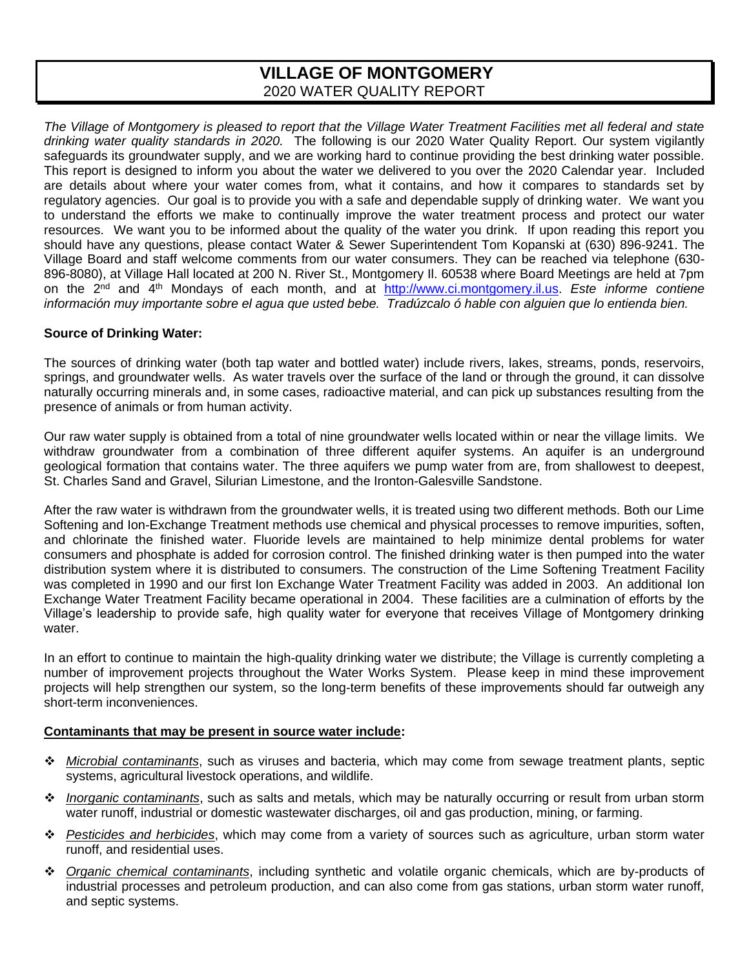# **VILLAGE OF MONTGOMERY** 2020 WATER QUALITY REPORT

*The Village of Montgomery is pleased to report that the Village Water Treatment Facilities met all federal and state drinking water quality standards in 2020.* The following is our 2020 Water Quality Report. Our system vigilantly safeguards its groundwater supply, and we are working hard to continue providing the best drinking water possible. This report is designed to inform you about the water we delivered to you over the 2020 Calendar year. Included are details about where your water comes from, what it contains, and how it compares to standards set by regulatory agencies. Our goal is to provide you with a safe and dependable supply of drinking water. We want you to understand the efforts we make to continually improve the water treatment process and protect our water resources. We want you to be informed about the quality of the water you drink. If upon reading this report you should have any questions, please contact Water & Sewer Superintendent Tom Kopanski at (630) 896-9241. The Village Board and staff welcome comments from our water consumers. They can be reached via telephone (630- 896-8080), at Village Hall located at 200 N. River St., Montgomery Il. 60538 where Board Meetings are held at 7pm on the 2nd and 4th Mondays of each month, and at [http://www.ci.montgomery.il.us.](http://www.ci.montgomery.il.us/) *Este informe contiene información muy importante sobre el agua que usted bebe. Tradúzcalo ó hable con alguien que lo entienda bien.*

### **Source of Drinking Water:**

The sources of drinking water (both tap water and bottled water) include rivers, lakes, streams, ponds, reservoirs, springs, and groundwater wells. As water travels over the surface of the land or through the ground, it can dissolve naturally occurring minerals and, in some cases, radioactive material, and can pick up substances resulting from the presence of animals or from human activity.

Our raw water supply is obtained from a total of nine groundwater wells located within or near the village limits. We withdraw groundwater from a combination of three different aquifer systems. An aquifer is an underground geological formation that contains water. The three aquifers we pump water from are, from shallowest to deepest, St. Charles Sand and Gravel, Silurian Limestone, and the Ironton-Galesville Sandstone.

After the raw water is withdrawn from the groundwater wells, it is treated using two different methods. Both our Lime Softening and Ion-Exchange Treatment methods use chemical and physical processes to remove impurities, soften, and chlorinate the finished water. Fluoride levels are maintained to help minimize dental problems for water consumers and phosphate is added for corrosion control. The finished drinking water is then pumped into the water distribution system where it is distributed to consumers. The construction of the Lime Softening Treatment Facility was completed in 1990 and our first Ion Exchange Water Treatment Facility was added in 2003. An additional Ion Exchange Water Treatment Facility became operational in 2004. These facilities are a culmination of efforts by the Village's leadership to provide safe, high quality water for everyone that receives Village of Montgomery drinking water

In an effort to continue to maintain the high-quality drinking water we distribute; the Village is currently completing a number of improvement projects throughout the Water Works System. Please keep in mind these improvement projects will help strengthen our system, so the long-term benefits of these improvements should far outweigh any short-term inconveniences.

### **Contaminants that may be present in source water include:**

- ❖ *Microbial contaminants*, such as viruses and bacteria, which may come from sewage treatment plants, septic systems, agricultural livestock operations, and wildlife.
- ❖ *Inorganic contaminants*, such as salts and metals, which may be naturally occurring or result from urban storm water runoff, industrial or domestic wastewater discharges, oil and gas production, mining, or farming.
- ❖ *Pesticides and herbicides*, which may come from a variety of sources such as agriculture, urban storm water runoff, and residential uses.
- ❖ *Organic chemical contaminants*, including synthetic and volatile organic chemicals, which are by-products of industrial processes and petroleum production, and can also come from gas stations, urban storm water runoff, and septic systems.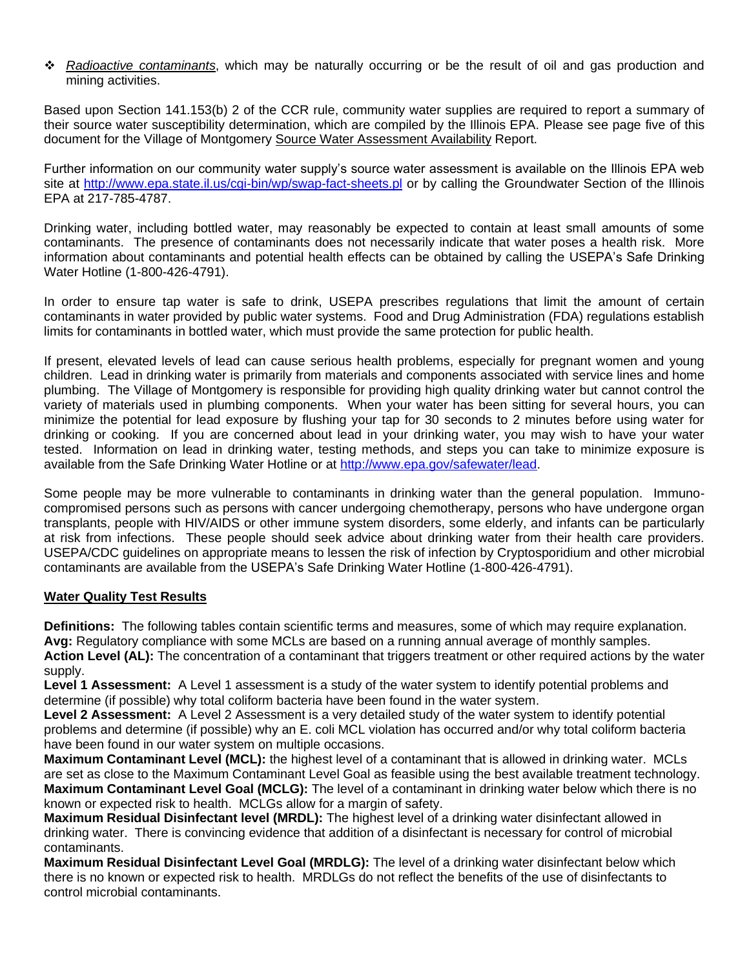❖ *Radioactive contaminants*, which may be naturally occurring or be the result of oil and gas production and mining activities.

Based upon Section 141.153(b) 2 of the CCR rule, community water supplies are required to report a summary of their source water susceptibility determination, which are compiled by the Illinois EPA. Please see page five of this document for the Village of Montgomery Source Water Assessment Availability Report.

Further information on our community water supply's source water assessment is available on the Illinois EPA web site at <http://www.epa.state.il.us/cgi-bin/wp/swap-fact-sheets.pl> or by calling the Groundwater Section of the Illinois EPA at 217-785-4787.

Drinking water, including bottled water, may reasonably be expected to contain at least small amounts of some contaminants. The presence of contaminants does not necessarily indicate that water poses a health risk. More information about contaminants and potential health effects can be obtained by calling the USEPA's Safe Drinking Water Hotline (1-800-426-4791).

In order to ensure tap water is safe to drink, USEPA prescribes regulations that limit the amount of certain contaminants in water provided by public water systems. Food and Drug Administration (FDA) regulations establish limits for contaminants in bottled water, which must provide the same protection for public health.

If present, elevated levels of lead can cause serious health problems, especially for pregnant women and young children. Lead in drinking water is primarily from materials and components associated with service lines and home plumbing. The Village of Montgomery is responsible for providing high quality drinking water but cannot control the variety of materials used in plumbing components. When your water has been sitting for several hours, you can minimize the potential for lead exposure by flushing your tap for 30 seconds to 2 minutes before using water for drinking or cooking. If you are concerned about lead in your drinking water, you may wish to have your water tested. Information on lead in drinking water, testing methods, and steps you can take to minimize exposure is available from the Safe Drinking Water Hotline or at [http://www.epa.gov/safewater/lead.](http://www.epa.gov/safewater/lead)

Some people may be more vulnerable to contaminants in drinking water than the general population. Immunocompromised persons such as persons with cancer undergoing chemotherapy, persons who have undergone organ transplants, people with HIV/AIDS or other immune system disorders, some elderly, and infants can be particularly at risk from infections. These people should seek advice about drinking water from their health care providers. USEPA/CDC guidelines on appropriate means to lessen the risk of infection by Cryptosporidium and other microbial contaminants are available from the USEPA's Safe Drinking Water Hotline (1-800-426-4791).

### **Water Quality Test Results**

**Definitions:** The following tables contain scientific terms and measures, some of which may require explanation. **Avg:** Regulatory compliance with some MCLs are based on a running annual average of monthly samples. **Action Level (AL):** The concentration of a contaminant that triggers treatment or other required actions by the water supply.

**Level 1 Assessment:** A Level 1 assessment is a study of the water system to identify potential problems and determine (if possible) why total coliform bacteria have been found in the water system.

**Level 2 Assessment:** A Level 2 Assessment is a very detailed study of the water system to identify potential problems and determine (if possible) why an E. coli MCL violation has occurred and/or why total coliform bacteria have been found in our water system on multiple occasions.

**Maximum Contaminant Level (MCL):** the highest level of a contaminant that is allowed in drinking water. MCLs are set as close to the Maximum Contaminant Level Goal as feasible using the best available treatment technology. **Maximum Contaminant Level Goal (MCLG):** The level of a contaminant in drinking water below which there is no known or expected risk to health. MCLGs allow for a margin of safety.

**Maximum Residual Disinfectant level (MRDL):** The highest level of a drinking water disinfectant allowed in drinking water. There is convincing evidence that addition of a disinfectant is necessary for control of microbial contaminants.

**Maximum Residual Disinfectant Level Goal (MRDLG):** The level of a drinking water disinfectant below which there is no known or expected risk to health. MRDLGs do not reflect the benefits of the use of disinfectants to control microbial contaminants.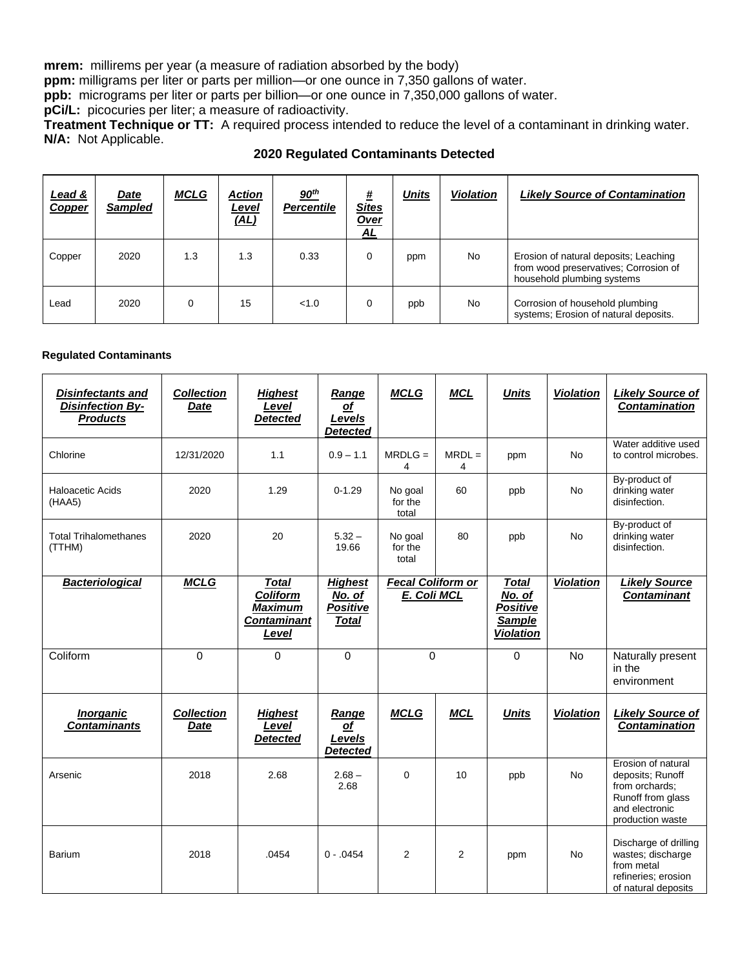**mrem:** millirems per year (a measure of radiation absorbed by the body)

**ppm:** milligrams per liter or parts per million—or one ounce in 7,350 gallons of water.

**ppb:** micrograms per liter or parts per billion—or one ounce in 7,350,000 gallons of water.

**pCi/L:** picocuries per liter; a measure of radioactivity.

**Treatment Technique or TT:** A required process intended to reduce the level of a contaminant in drinking water. **N/A:** Not Applicable.

| <u>Lead &amp;</u><br>Copper | <u>Date</u><br><b>Sampled</b> | <b>MCLG</b> | Action<br><u>Level</u><br>(AL) | 90 <sup>th</sup><br><b>Percentile</b> | #<br><b>Sites</b><br>Over<br>AL | <b>Units</b> | <b>Violation</b> | <b>Likely Source of Contamination</b>                                                                        |
|-----------------------------|-------------------------------|-------------|--------------------------------|---------------------------------------|---------------------------------|--------------|------------------|--------------------------------------------------------------------------------------------------------------|
| Copper                      | 2020                          | 1.3         | 1.3                            | 0.33                                  | 0                               | ppm          | No               | Erosion of natural deposits; Leaching<br>from wood preservatives; Corrosion of<br>household plumbing systems |
| Lead                        | 2020                          |             | 15                             | < 1.0                                 | 0                               | ppb          | No               | Corrosion of household plumbing<br>systems; Erosion of natural deposits.                                     |

#### **Regulated Contaminants**

| <b>Disinfectants and</b><br><b>Disinfection By-</b><br><b>Products</b> | <b>Collection</b><br><b>Date</b> | <b>Highest</b><br>Level<br><b>Detected</b>                                       | Range<br>of<br>Levels<br><b>Detected</b>                    | <b>MCLG</b>                             | <b>MCL</b>    | <b>Units</b>                                                                          | <b>Violation</b> | <b>Likely Source of</b><br><b>Contamination</b>                                                                     |
|------------------------------------------------------------------------|----------------------------------|----------------------------------------------------------------------------------|-------------------------------------------------------------|-----------------------------------------|---------------|---------------------------------------------------------------------------------------|------------------|---------------------------------------------------------------------------------------------------------------------|
| Chlorine                                                               | 12/31/2020                       | 1.1                                                                              | $0.9 - 1.1$                                                 | $MRDLG =$<br>4                          | $MRDL =$<br>4 | ppm                                                                                   | <b>No</b>        | Water additive used<br>to control microbes.                                                                         |
| Haloacetic Acids<br>(HAA5)                                             | 2020                             | 1.29                                                                             | $0 - 1.29$                                                  | No goal<br>for the<br>total             | 60            | ppb                                                                                   | No               | By-product of<br>drinking water<br>disinfection.                                                                    |
| <b>Total Trihalomethanes</b><br>(TTHM)                                 | 2020                             | 20                                                                               | $5.32 -$<br>19.66                                           | No goal<br>for the<br>total             | 80            | ppb                                                                                   | <b>No</b>        | By-product of<br>drinking water<br>disinfection.                                                                    |
| <b>Bacteriological</b>                                                 | <b>MCLG</b>                      | <b>Total</b><br><b>Coliform</b><br><b>Maximum</b><br><b>Contaminant</b><br>Level | <b>Highest</b><br>No. of<br><b>Positive</b><br><b>Total</b> | <b>Fecal Coliform or</b><br>E. Coli MCL |               | <b>Total</b><br>$\overline{N}$ o. of<br>Positive<br><b>Sample</b><br><b>Violation</b> | <b>Violation</b> | <b>Likely Source</b><br><b>Contaminant</b>                                                                          |
| Coliform                                                               | $\Omega$                         | $\Omega$                                                                         | $\mathbf 0$                                                 | $\Omega$                                |               | 0                                                                                     | <b>No</b>        | Naturally present<br>in the<br>environment                                                                          |
| <b>Inorganic</b><br><b>Contaminants</b>                                | <b>Collection</b><br>Date        | <b>Highest</b><br>Level<br><b>Detected</b>                                       | Range<br>$\Omega$<br>Levels<br><b>Detected</b>              | <b>MCLG</b>                             | <b>MCL</b>    | <b>Units</b>                                                                          | <b>Violation</b> | <b>Likely Source of</b><br><b>Contamination</b>                                                                     |
| Arsenic                                                                | 2018                             | 2.68                                                                             | $2.68 -$<br>2.68                                            | $\Omega$                                | 10            | ppb                                                                                   | No               | Erosion of natural<br>deposits; Runoff<br>from orchards:<br>Runoff from glass<br>and electronic<br>production waste |
| <b>Barium</b>                                                          | 2018                             | .0454                                                                            | $0 - .0454$                                                 | $\overline{2}$                          | 2             | ppm                                                                                   | No               | Discharge of drilling<br>wastes; discharge<br>from metal<br>refineries; erosion<br>of natural deposits              |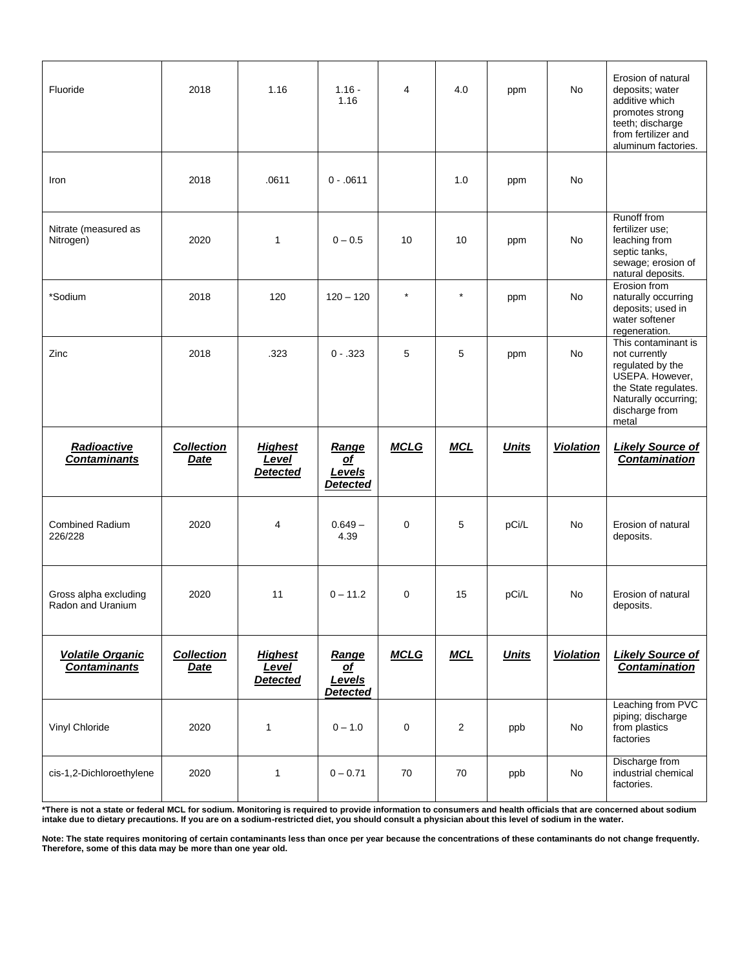| Fluoride                                       | 2018                             | 1.16                                       | $1.16 -$<br>1.16                                | 4           | 4.0            | ppm          | No               | Erosion of natural<br>deposits; water<br>additive which<br>promotes strong<br>teeth; discharge<br>from fertilizer and<br>aluminum factories.           |
|------------------------------------------------|----------------------------------|--------------------------------------------|-------------------------------------------------|-------------|----------------|--------------|------------------|--------------------------------------------------------------------------------------------------------------------------------------------------------|
| Iron                                           | 2018                             | .0611                                      | $0 - .0611$                                     |             | 1.0            | ppm          | No               |                                                                                                                                                        |
| Nitrate (measured as<br>Nitrogen)              | 2020                             | 1                                          | $0 - 0.5$                                       | 10          | 10             | ppm          | No               | Runoff from<br>fertilizer use;<br>leaching from<br>septic tanks,<br>sewage; erosion of<br>natural deposits.                                            |
| *Sodium                                        | 2018                             | 120                                        | $120 - 120$                                     | $\star$     | $\star$        | ppm          | No               | Erosion from<br>naturally occurring<br>deposits; used in<br>water softener<br>regeneration.                                                            |
| Zinc                                           | 2018                             | .323                                       | $0 - .323$                                      | 5           | 5              | ppm          | No               | This contaminant is<br>not currently<br>regulated by the<br>USEPA. However,<br>the State regulates.<br>Naturally occurring;<br>discharge from<br>metal |
|                                                |                                  |                                            |                                                 |             |                |              |                  |                                                                                                                                                        |
| Radioactive<br><b>Contaminants</b>             | <b>Collection</b><br>Date        | <b>Highest</b><br>Level<br><b>Detected</b> | <b>Range</b><br>of<br>Levels<br><b>Detected</b> | <b>MCLG</b> | <b>MCL</b>     | <b>Units</b> | <b>Violation</b> | <b>Likely Source of</b><br><b>Contamination</b>                                                                                                        |
| <b>Combined Radium</b><br>226/228              | 2020                             | 4                                          | $0.649 -$<br>4.39                               | 0           | 5              | pCi/L        | No               | Erosion of natural<br>deposits.                                                                                                                        |
| Gross alpha excluding<br>Radon and Uranium     | 2020                             | 11                                         | $0 - 11.2$                                      | 0           | 15             | pCi/L        | No               | Erosion of natural<br>deposits.                                                                                                                        |
| <b>Volatile Organic</b><br><b>Contaminants</b> | <b>Collection</b><br><b>Date</b> | <b>Highest</b><br>Level<br><b>Detected</b> | Range<br>$\Omega$<br>Levels<br><b>Detected</b>  | <b>MCLG</b> | <b>MCL</b>     | <b>Units</b> | <b>Violation</b> | <b>Likely Source of</b><br><b>Contamination</b>                                                                                                        |
| Vinyl Chloride                                 | 2020                             | $\mathbf{1}$                               | $0 - 1.0$                                       | 0           | $\overline{c}$ | ppb          | No               | Leaching from PVC<br>piping; discharge<br>from plastics<br>factories                                                                                   |

**\*There is not a state or federal MCL for sodium. Monitoring is required to provide information to consumers and health officials that are concerned about sodium intake due to dietary precautions. If you are on a sodium-restricted diet, you should consult a physician about this level of sodium in the water.**

**Note: The state requires monitoring of certain contaminants less than once per year because the concentrations of these contaminants do not change frequently. Therefore, some of this data may be more than one year old.**